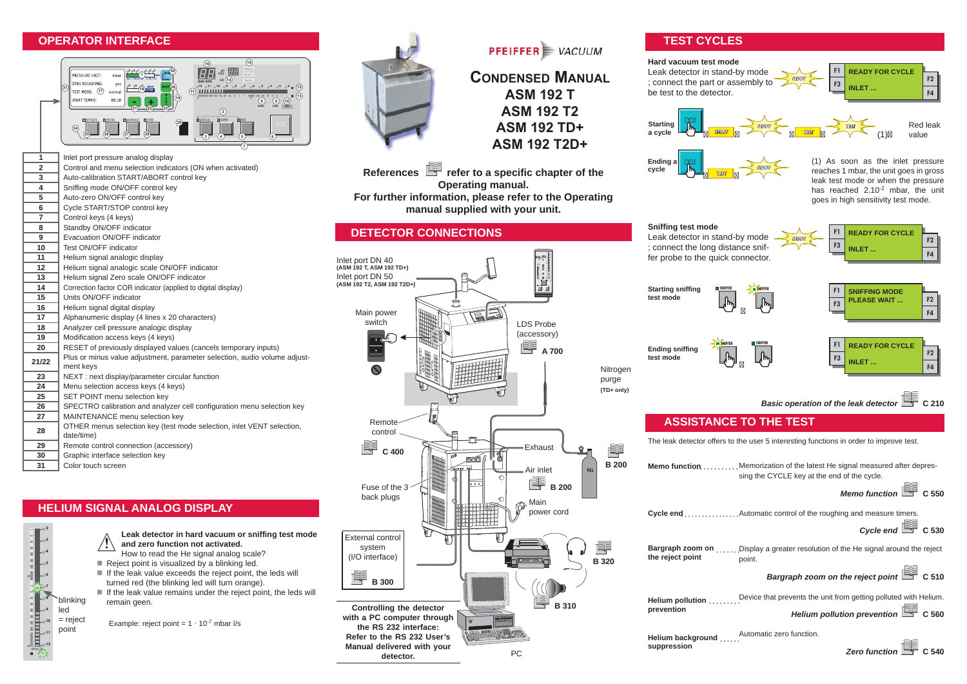## **OPERATOR INTERFACE**



 Inlet port pressure analog display<br>**2** Control and menu selection indica Control and menu selection indicators (ON when activated)<br>**3** Auto-calibration START/ABORT control key Auto-calibration START/ABORT control key Sniffing mode ON/OFF control key

- **5** Auto-zero ON/OFF control key **6** Cycle START/STOP control key **7** Control keys (4 keys) **8** Standby ON/OFF indicator **9** Evacuation ON/OFF indicator **10** Test ON/OFF indicator **11** Helium signal analogic display **12** Helium signal analogic scale ON/OFF indicator **13** Helium signal Zero scale ON/OFF indicator **14** Correction factor COR indicator (applied to digital display) **15** Units ON/OFF indicator **16** Helium signal digital display **17** Alphanumeric display (4 lines x 20 characters) 18 Analyzer cell pressure analogic display 19 Modification access keys (4 keys)<br>**20** RESET of previously displayed va **20** RESET of previously displayed values (cancels temporary inputs) **21/22** Plus or minus value adjustment, parameter selection, audio volume adjustment keys **23** NEXT : next display/parameter circular function<br>**24** Menu selection access keys (4 keys) **24** Menu selection access keys (4 keys) **25** SET POINT menu selection key **26** SPECTRO calibration and analyzer cell configuration menu selection key **27** MAINTENANCE menu selection key **28** OTHER menus selection key (test mode selection, inlet VENT selection, date/time)
- **29** Remote control connection (accessory)
- **30** Graphic interface selection key
- **31** Color touch screen

## **HELIUM SIGNAL ANALOG DISPLAY**

- **Leak detector in hard vacuum or sniffing test mode and zero function not activated.** How to read the He signal analog scale?
- $\blacksquare$  Reject point is visualized by a blinking led.

Example: reject point =  $1 \cdot 10^{-7}$  mbar I/s

- $\blacksquare$  If the leak value exceeds the reject point, the leds will turned red (the blinking led will turn orange).
- $\blacksquare$  If the leak value remains under the reject point, the leds will remain geen.

<sup>10</sup>**-11** <sup>10</sup>**-10** <sup>10</sup>**-9** led = reject point

blinking

mbar.l/s <sup>10</sup>**-12**

<sup>10</sup>**-8** <sup>10</sup>**-7** <sup>10</sup>**-6** <sup>10</sup>**-5** <sup>10</sup>**-4** <sup>10</sup>**-3** <sup>10</sup>**-2**



**PFEIFFER** VACUUM

# **CONDENSED MANUAL ASM 192 T ASM 192 T2 ASM 192 TD+ ASM 192 T2D+**

References **F** refer to a specific chapter of the **Operating manual. For further information, please refer to the Operating manual supplied with your unit.**

## **DETECTOR CONNECTIONS**



## **TEST CYCLES**